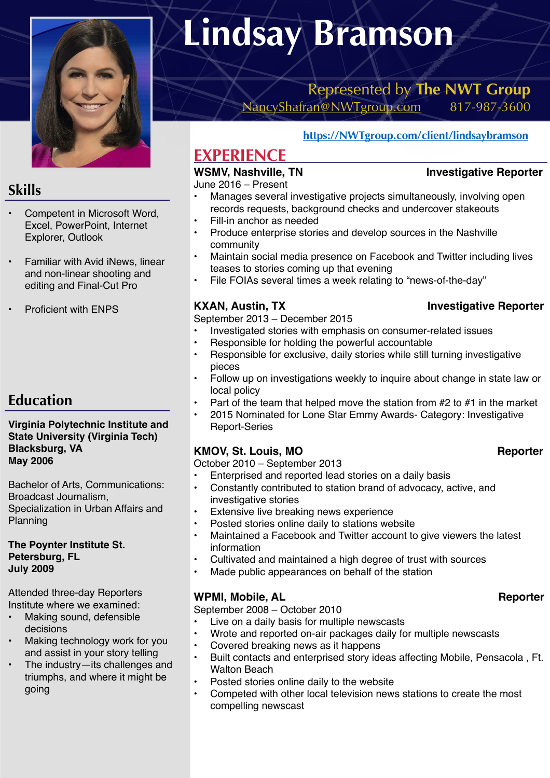

## **Skills**

- Competent in Microsoft Word, Excel, PowerPoint, Internet Explorer, Outlook
- Familiar with Avid iNews, linear and non-linear shooting and editing and Final-Cut Pro
- Proficient with ENPS

# **Education**

### **Virginia Polytechnic Institute and State University (Virginia Tech) Blacksburg, VA May 2006**

Bachelor of Arts, Communications: Broadcast Journalism, Specialization in Urban Affairs and Planning

**The Poynter Institute St. Petersburg, FL July 2009** 

Attended three-day Reporters Institute where we examined:

- Making sound, defensible decisions
- Making technology work for you and assist in your story telling
- The industry—its challenges and triumphs, and where it might be going

# **Lindsay Bramson**

# Represented by **The NWT Group**  [NancyShafran@NWTgroup.com](mailto:NancyShafran@NWTgroup.com) 817-987-3600

### **[https://NWTgroup.com/client/lindsaybramson](https://nwtgroup.com/client/lindsaybramson)**

# **EXPERIENCE**

### WSMV, Nashville, TN **Investigative Reporter**

June 2016 – Present

- Manages several investigative projects simultaneously, involving open records requests, background checks and undercover stakeouts
- Fill-in anchor as needed
- Produce enterprise stories and develop sources in the Nashville community
- Maintain social media presence on Facebook and Twitter including lives teases to stories coming up that evening
- File FOIAs several times a week relating to "news-of-the-day"

### **KXAN, Austin, TX** Investigative Reporter

September 2013 – December 2015

- Investigated stories with emphasis on consumer-related issues
- Responsible for holding the powerful accountable
- Responsible for exclusive, daily stories while still turning investigative pieces
- Follow up on investigations weekly to inquire about change in state law or local policy
- Part of the team that helped move the station from  $#2$  to  $#1$  in the market
- 2015 Nominated for Lone Star Emmy Awards- Category: Investigative Report-Series

### KMOV, St. Louis, MO **Reporter**

October 2010 – September 2013

- Enterprised and reported lead stories on a daily basis
- Constantly contributed to station brand of advocacy, active, and investigative stories
- Extensive live breaking news experience
- Posted stories online daily to stations website
- Maintained a Facebook and Twitter account to give viewers the latest information
- Cultivated and maintained a high degree of trust with sources
- Made public appearances on behalf of the station

### WPMI, Mobile, AL **Reporter Reporter**

September 2008 – October 2010

- Live on a daily basis for multiple newscasts
- Wrote and reported on-air packages daily for multiple newscasts
- Covered breaking news as it happens
- Built contacts and enterprised story ideas affecting Mobile, Pensacola , Ft. Walton Beach
- Posted stories online daily to the website
- Competed with other local television news stations to create the most compelling newscast